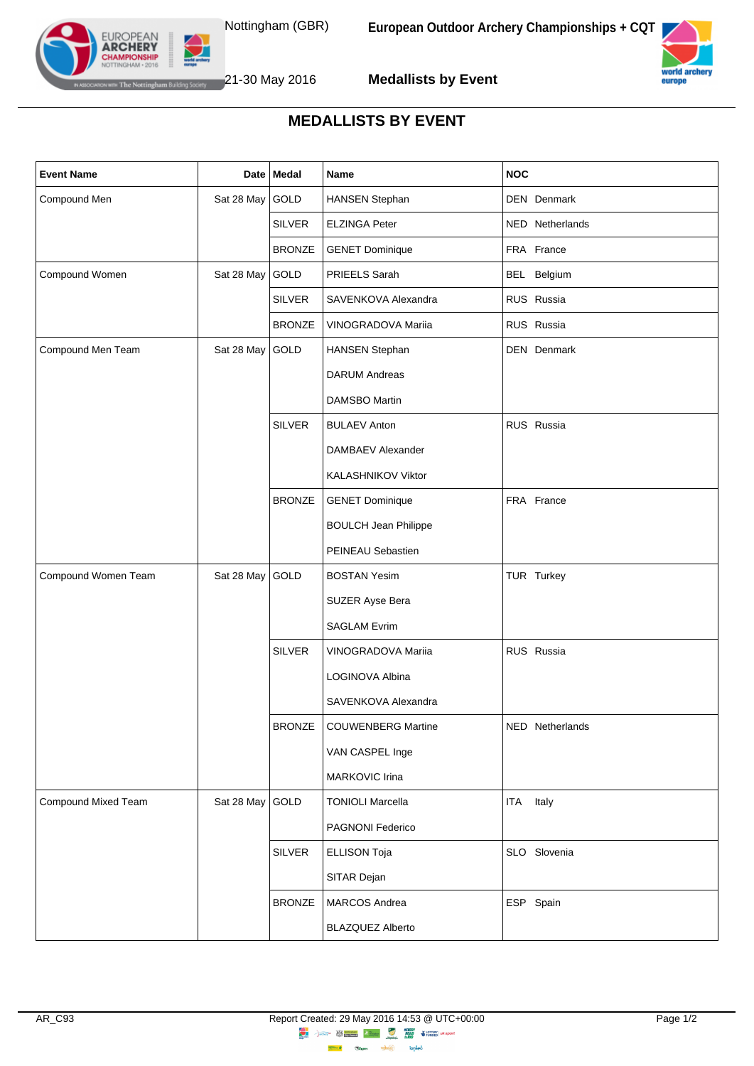

**Medallists by Event**



## **MEDALLISTS BY EVENT**

| <b>Event Name</b>   |                 | Date   Medal  | Name                        | <b>NOC</b>          |
|---------------------|-----------------|---------------|-----------------------------|---------------------|
| Compound Men        | Sat 28 May GOLD |               | <b>HANSEN Stephan</b>       | DEN Denmark         |
|                     |                 | <b>SILVER</b> | <b>ELZINGA Peter</b>        | NED Netherlands     |
|                     |                 | <b>BRONZE</b> | <b>GENET Dominique</b>      | FRA France          |
| Compound Women      | Sat 28 May GOLD |               | PRIEELS Sarah               | BEL Belgium         |
|                     |                 | <b>SILVER</b> | SAVENKOVA Alexandra         | RUS Russia          |
|                     |                 | <b>BRONZE</b> | VINOGRADOVA Mariia          | RUS Russia          |
| Compound Men Team   | Sat 28 May GOLD |               | <b>HANSEN Stephan</b>       | DEN Denmark         |
|                     |                 |               | <b>DARUM Andreas</b>        |                     |
|                     |                 |               | DAMSBO Martin               |                     |
|                     |                 | <b>SILVER</b> | <b>BULAEV Anton</b>         | RUS Russia          |
|                     |                 |               | DAMBAEV Alexander           |                     |
|                     |                 |               | KALASHNIKOV Viktor          |                     |
|                     |                 | <b>BRONZE</b> | <b>GENET Dominique</b>      | FRA France          |
|                     |                 |               | <b>BOULCH Jean Philippe</b> |                     |
|                     |                 |               | PEINEAU Sebastien           |                     |
| Compound Women Team | Sat 28 May GOLD |               | <b>BOSTAN Yesim</b>         | TUR Turkey          |
|                     |                 |               | SUZER Ayse Bera             |                     |
|                     |                 |               | <b>SAGLAM Evrim</b>         |                     |
|                     |                 | <b>SILVER</b> | VINOGRADOVA Mariia          | RUS Russia          |
|                     |                 |               | LOGINOVA Albina             |                     |
|                     |                 |               | SAVENKOVA Alexandra         |                     |
|                     |                 | <b>BRONZE</b> | COUWENBERG Martine          | NED Netherlands     |
|                     |                 |               | VAN CASPEL Inge             |                     |
|                     |                 |               | MARKOVIC Irina              |                     |
| Compound Mixed Team | Sat 28 May GOLD |               | <b>TONIOLI Marcella</b>     | <b>ITA</b><br>Italy |
|                     |                 |               | PAGNONI Federico            |                     |
|                     |                 | <b>SILVER</b> | <b>ELLISON Toja</b>         | SLO Slovenia        |
|                     |                 |               | SITAR Dejan                 |                     |
|                     |                 | <b>BRONZE</b> | MARCOS Andrea               | ESP Spain           |
|                     |                 |               | <b>BLAZQUEZ Alberto</b>     |                     |